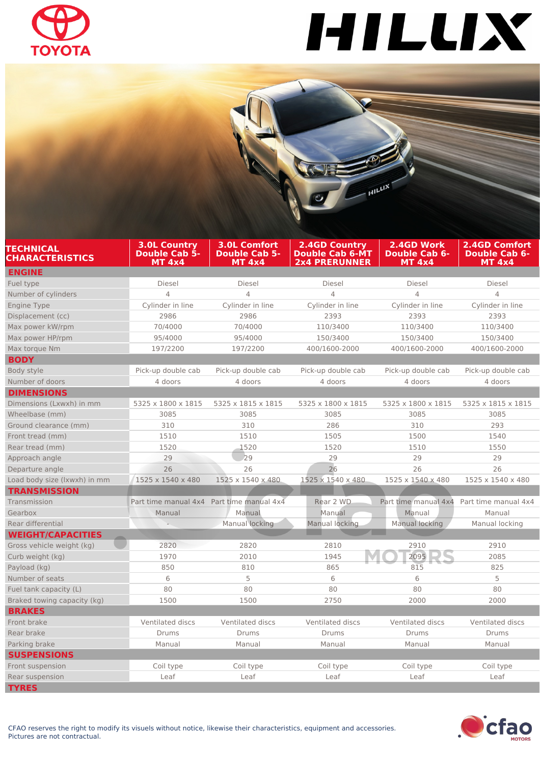

## HILLIX

|                                                                                                     |                                                              | $\frac{1}{2}$ $H^{\text{ILLI}X}$                                       |                                                     |                                                               |
|-----------------------------------------------------------------------------------------------------|--------------------------------------------------------------|------------------------------------------------------------------------|-----------------------------------------------------|---------------------------------------------------------------|
|                                                                                                     |                                                              |                                                                        |                                                     |                                                               |
| <b>3.0L Country</b><br><b>TECHNICAL</b><br>Double Cab 5-<br><b>CHARACTERISTICS</b><br><b>MT 4x4</b> | <b>3.0L Comfort</b><br><b>Double Cab 5-</b><br><b>MT 4x4</b> | <b>2.4GD Country</b><br><b>Double Cab 6-MT</b><br><b>2x4 PRERUNNER</b> | 2.4GD Work<br><b>Double Cab 6-</b><br><b>MT 4x4</b> | <b>2.4GD Comfort</b><br><b>Double Cab 6-</b><br><b>MT 4x4</b> |
| <b>ENGINE</b>                                                                                       |                                                              |                                                                        |                                                     |                                                               |
| Fuel type<br><b>Diesel</b>                                                                          | <b>Diesel</b>                                                | <b>Diesel</b>                                                          | <b>Diesel</b>                                       | <b>Diesel</b>                                                 |
| Number of cylinders<br>4                                                                            | $\overline{4}$                                               | 4                                                                      | 4                                                   | $\overline{4}$                                                |
| Cylinder in line<br>Engine Type                                                                     | Cylinder in line                                             | Cylinder in line                                                       | Cylinder in line                                    | Cylinder in line                                              |
| 2986<br>Displacement (cc)                                                                           | 2986                                                         | 2393                                                                   | 2393                                                | 2393                                                          |
| 70/4000<br>Max power kW/rpm                                                                         | 70/4000                                                      | 110/3400                                                               | 110/3400                                            | 110/3400                                                      |
| Max power HP/rpm<br>95/4000                                                                         | 95/4000                                                      | 150/3400                                                               | 150/3400                                            | 150/3400                                                      |
| Max torque Nm<br>197/2200                                                                           | 197/2200                                                     | 400/1600-2000                                                          | 400/1600-2000                                       | 400/1600-2000                                                 |
| <b>BODY</b>                                                                                         |                                                              |                                                                        |                                                     |                                                               |
| Body style<br>Pick-up double cab                                                                    | Pick-up double cab                                           | Pick-up double cab                                                     | Pick-up double cab                                  | Pick-up double cab                                            |
| Number of doors<br>4 doors                                                                          | 4 doors                                                      | 4 doors                                                                | 4 doors                                             | 4 doors                                                       |
| <b>DIMENSIONS</b>                                                                                   |                                                              |                                                                        |                                                     |                                                               |
| Dimensions (Lxwxh) in mm<br>5325 x 1800 x 1815                                                      | 5325 x 1815 x 1815                                           | 5325 x 1800 x 1815                                                     | 5325 x 1800 x 1815                                  | 5325 x 1815 x 1815                                            |
| Wheelbase (mm)<br>3085                                                                              | 3085                                                         | 3085                                                                   | 3085                                                | 3085                                                          |
| Ground clearance (mm)<br>310                                                                        | 310                                                          | 286                                                                    | 310                                                 | 293                                                           |
| Front tread (mm)<br>1510                                                                            | 1510                                                         | 1505                                                                   | 1500                                                | 1540                                                          |
| 1520<br>Rear tread (mm)                                                                             | 1520                                                         | 1520                                                                   | 1510                                                | 1550                                                          |
| 29<br>Approach angle                                                                                | 29                                                           | 29                                                                     | 29                                                  | 29                                                            |
| 26<br>Departure angle                                                                               | 26                                                           | 26                                                                     | 26                                                  | 26                                                            |
| Load body size (Ixwxh) in mm<br>1525 x 1540 x 480                                                   | 1525 x 1540 x 480                                            | 1525 x 1540 x 480                                                      | 1525 x 1540 x 480                                   | 1525 x 1540 x 480                                             |
| <b>TRANSMISSION</b>                                                                                 |                                                              |                                                                        |                                                     |                                                               |
| Transmission                                                                                        | Part time manual 4x4 Part time manual 4x4                    | Rear 2 WD                                                              | Part time manual 4x4                                | Part time manual 4x4                                          |
| Gearbox<br>Manual                                                                                   | Manual                                                       | Manual                                                                 | Manual                                              | Manual                                                        |
| Rear differential                                                                                   | Manual locking                                               | Manual locking                                                         | Manual locking                                      | Manual locking                                                |
| <b>WEIGHT/CAPACITIES</b>                                                                            |                                                              |                                                                        |                                                     |                                                               |
| Gross vehicle weight (kg)<br>2820                                                                   | 2820                                                         | 2810                                                                   | 2910                                                | 2910                                                          |
| Curb weight (kg)<br>1970                                                                            | 2010                                                         | 1945                                                                   | 2095                                                | 2085                                                          |
| Payload (kg)<br>850                                                                                 | 810                                                          | 865                                                                    | 815                                                 | 825                                                           |
| 6<br>Number of seats                                                                                | 5                                                            | 6                                                                      | 6                                                   | 5                                                             |
| Fuel tank capacity (L)<br>80                                                                        | 80                                                           | 80                                                                     | 80                                                  | 80                                                            |
| Braked towing capacity (kg)<br>1500                                                                 | 1500                                                         | 2750                                                                   | 2000                                                | 2000                                                          |
| <b>BRAKES</b>                                                                                       |                                                              |                                                                        |                                                     |                                                               |
| Front brake<br>Ventilated discs                                                                     | Ventilated discs                                             | Ventilated discs                                                       | Ventilated discs                                    | Ventilated discs                                              |
| Rear brake<br>Drums                                                                                 | Drums                                                        | Drums                                                                  | Drums                                               | Drums                                                         |
| Parking brake<br>Manual                                                                             | Manual                                                       | Manual                                                                 | Manual                                              | Manual                                                        |
| <b>SUSPENSIONS</b>                                                                                  |                                                              |                                                                        |                                                     |                                                               |
| Front suspension<br>Coil type                                                                       | Coil type<br>Leaf                                            | Coil type<br>Leaf                                                      | Coil type<br>Leaf                                   | Coil type                                                     |
| Rear suspension<br>Leaf<br><b>TYRES</b>                                                             |                                                              |                                                                        |                                                     | Leaf                                                          |

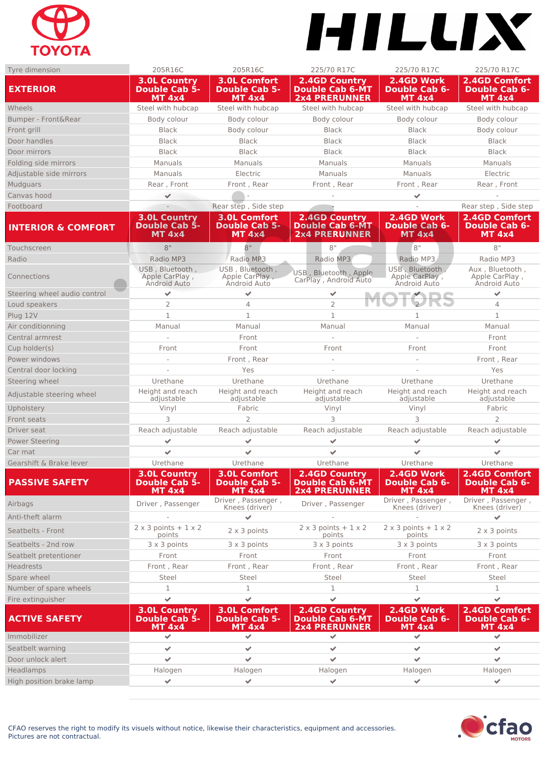

## HILLIX

| Tyre dimension                | 205R16C                                                      | 205R16C                                                      | 225/70 R17C                                                            | 225/70 R17C                                         | 225/70 R17C                                                   |
|-------------------------------|--------------------------------------------------------------|--------------------------------------------------------------|------------------------------------------------------------------------|-----------------------------------------------------|---------------------------------------------------------------|
| <b>EXTERIOR</b>               | <b>3.0L Country</b><br><b>Double Cab 5-</b><br><b>MT 4x4</b> | <b>3.0L Comfort</b><br><b>Double Cab 5-</b><br><b>MT 4x4</b> | <b>2.4GD Country</b><br><b>Double Cab 6-MT</b><br><b>2x4 PRERUNNER</b> | 2.4GD Work<br><b>Double Cab 6-</b><br><b>MT 4x4</b> | 2.4GD Comfort<br><b>Double Cab 6-</b><br><b>MT 4x4</b>        |
| Wheels                        | Steel with hubcap                                            | Steel with hubcap                                            | Steel with hubcap                                                      | Steel with hubcap                                   | Steel with hubcap                                             |
| Bumper - Front&Rear           | Body colour                                                  | Body colour                                                  | Body colour                                                            | Body colour                                         | Body colour                                                   |
| Front grill                   | <b>Black</b>                                                 | Body colour                                                  | <b>Black</b>                                                           | <b>Black</b>                                        | Body colour                                                   |
| Door handles                  | <b>Black</b>                                                 | <b>Black</b>                                                 | <b>Black</b>                                                           | <b>Black</b>                                        | <b>Black</b>                                                  |
| Door mirrors                  | <b>Black</b>                                                 | <b>Black</b>                                                 | <b>Black</b>                                                           | <b>Black</b>                                        | <b>Black</b>                                                  |
| Folding side mirrors          | Manuals                                                      | Manuals                                                      | Manuals                                                                | Manuals                                             | Manuals                                                       |
| Adjustable side mirrors       | Manuals                                                      | Electric                                                     | Manuals                                                                | Manuals                                             | Electric                                                      |
| <b>Mudguars</b>               | Rear, Front                                                  | Front, Rear                                                  | Front, Rear                                                            | Front, Rear                                         | Rear, Front                                                   |
| Canvas hood                   | ✔                                                            |                                                              |                                                                        | $\mathcal{L}$                                       |                                                               |
| Footboard                     |                                                              | Rear step, Side step                                         |                                                                        |                                                     | Rear step, Side step                                          |
|                               | <b>3.0L Country</b>                                          | <b>3.0L Comfort</b>                                          | <b>2.4GD Country</b>                                                   | 2.4GD Work                                          | <b>2.4GD Comfort</b>                                          |
| <b>INTERIOR &amp; COMFORT</b> | <b>Double Cab 5-</b><br><b>MT 4x4</b>                        | <b>Double Cab 5-</b><br>MT 4x4                               | <b>Double Cab 6-MT</b><br><b>2x4 PRERUNNER</b>                         | <b>Double Cab 6-</b><br><b>MT 4x4</b>               | <b>Double Cab 6-</b><br><b>MT 4x4</b>                         |
| Touchscreen                   | 8"                                                           | 8"                                                           | 8"                                                                     | 8"                                                  | 8"                                                            |
| Radio                         | Radio MP3                                                    | Radio MP3                                                    | Radio MP3                                                              | Radio MP3                                           | Radio MP3                                                     |
| Connections                   | USB, Bluetooth,<br>Apple CarPlay,<br>Android Auto            | USB. Bluetooth.<br>Apple CarPlay,<br>Android Auto            | USB, Bluetooth, Apple<br>CarPlay, Android Auto                         | USB, Bluetooth,<br>Apple CarPlay,<br>Android Auto   | Aux, Bluetooth,<br>Apple CarPlay,<br>Android Auto             |
| Steering wheel audio control  | ✔                                                            | $\overline{\phantom{a}}$                                     | ✔                                                                      |                                                     | $\mathcal{L}$                                                 |
| Loud speakers                 | $\overline{2}$                                               | $\overline{4}$                                               | $\overline{2}$                                                         |                                                     | $\overline{4}$                                                |
| Plug 12V                      | $1\,$                                                        | 1                                                            | $\mathbf{1}$                                                           | 1                                                   | $\mathbf{1}$                                                  |
| Air conditionning             | Manual                                                       | Manual                                                       | Manual                                                                 | Manual                                              | Manual                                                        |
| Central armrest               |                                                              | Front                                                        |                                                                        |                                                     | Front                                                         |
| Cup holder(s)                 | Front                                                        | Front                                                        | Front                                                                  | Front                                               | Front                                                         |
| Power windows                 |                                                              | Front, Rear                                                  |                                                                        |                                                     | Front, Rear                                                   |
| Central door locking          |                                                              | Yes                                                          |                                                                        |                                                     | Yes                                                           |
| Steering wheel                | Urethane                                                     | Urethane                                                     | Urethane                                                               | Urethane                                            | Urethane                                                      |
| Adjustable steering wheel     | Height and reach<br>adjustable                               | Height and reach<br>adjustable                               | Height and reach<br>adjustable                                         | Height and reach<br>adjustable                      | Height and reach<br>adjustable                                |
| Upholstery                    | Vinyl                                                        | Fabric                                                       | Vinyl                                                                  | Vinyl                                               | Fabric                                                        |
| Front seats                   | 3                                                            | $\overline{2}$                                               | 3                                                                      | 3                                                   | $\overline{2}$                                                |
| Driver seat                   | Reach adjustable                                             | Reach adjustable                                             | Reach adjustable                                                       | Reach adjustable                                    | Reach adjustable                                              |
| <b>Power Steering</b>         | ✔                                                            | $\checkmark$                                                 | ✔                                                                      | $\blacktriangledown$                                | $\mathcal{L}$                                                 |
| Car mat                       | $\checkmark$                                                 |                                                              |                                                                        | $\checkmark$                                        |                                                               |
| Gearshift & Brake lever       | Urethane                                                     | Urethane                                                     | Urethane                                                               | Urethane                                            | Urethane                                                      |
| <b>PASSIVE SAFETY</b>         | <b>3.0L Country</b><br><b>Double Cab 5-</b><br><b>MT 4x4</b> | <b>3.0L Comfort</b><br><b>Double Cab 5-</b><br><b>MT 4x4</b> | <b>2.4GD Country</b><br><b>Double Cab 6-MT</b><br><b>2x4 PRERUNNER</b> | 2.4GD Work<br><b>Double Cab 6-</b><br><b>MT 4x4</b> | <b>2.4GD Comfort</b><br><b>Double Cab 6-</b><br><b>MT 4x4</b> |
| Airbags                       | Driver, Passenger                                            | Driver, Passenger,<br>Knees (driver)                         | Driver, Passenger                                                      | Driver, Passenger,<br>Knees (driver)                | Driver, Passenger,<br>Knees (driver)                          |
| Anti-theft alarm              |                                                              |                                                              |                                                                        |                                                     |                                                               |
| Seatbelts - Front             | $2 \times 3$ points + $1 \times 2$<br>points                 | $2 \times 3$ points                                          | $2 \times 3$ points + $1 \times 2$<br>points                           | $2 \times 3$ points + $1 \times 2$<br>points        | 2 x 3 points                                                  |
| Seatbelts - 2nd row           | 3 x 3 points                                                 | 3 x 3 points                                                 | 3 x 3 points                                                           | $3 \times 3$ points                                 | $3 \times 3$ points                                           |
| Seatbelt pretentioner         | Front                                                        | Front                                                        | Front                                                                  | Front                                               | Front                                                         |
| <b>Headrests</b>              | Front, Rear                                                  | Front, Rear                                                  | Front, Rear                                                            | Front, Rear                                         | Front, Rear                                                   |
| Spare wheel                   | Steel                                                        | Steel                                                        | <b>Steel</b>                                                           | Steel                                               | <b>Steel</b>                                                  |
| Number of spare wheels        | 1                                                            | 1                                                            | 1                                                                      | $\mathbf 1$                                         | $\mathbf 1$                                                   |
| Fire extinguisher             | $\checkmark$                                                 | $\mathcal{L}$                                                | $\mathcal{L}$                                                          | $\overline{\mathscr{S}}$                            | $\overline{\mathscr{L}}$                                      |
| <b>ACTIVE SAFETY</b>          | <b>3.0L Country</b><br><b>Double Cab 5-</b><br><b>MT 4x4</b> | <b>3.0L Comfort</b><br><b>Double Cab 5-</b><br><b>MT 4x4</b> | <b>2.4GD Country</b><br><b>Double Cab 6-MT</b><br><b>2x4 PRERUNNER</b> | 2.4GD Work<br><b>Double Cab 6-</b><br>MT 4x4        | 2.4GD Comfort<br><b>Double Cab 6-</b><br><b>MT 4x4</b>        |
| Immobilizer                   | $\blacktriangledown$                                         | $\checkmark$                                                 | ✔                                                                      | $\mathcal{L}$                                       | $\mathcal{L}$                                                 |
| Seatbelt warning              | ✔                                                            | $\mathbf{v}$                                                 | ✔                                                                      | $\blacktriangledown$                                | $\blacktriangledown$                                          |
| Door unlock alert             | ✔                                                            | $\overline{\mathscr{S}}$                                     | ✔                                                                      | $\mathcal{L}$                                       | $\mathcal{L}$                                                 |
| <b>Headlamps</b>              | Halogen                                                      | Halogen                                                      | Halogen                                                                | Halogen                                             | Halogen                                                       |
| High position brake lamp      | $\blacktriangleright$                                        | $\mathcal{L}$                                                | ✔                                                                      | $\mathcal{L}$                                       | $\mathcal{L}$                                                 |